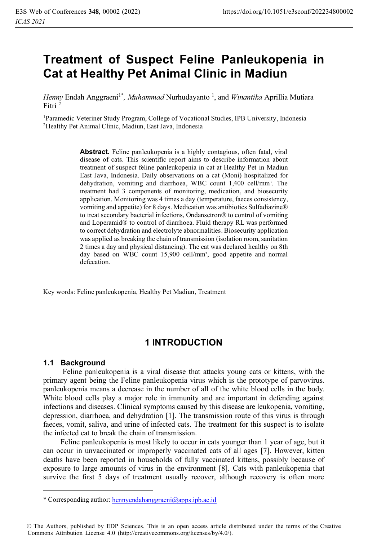# **Treatment of Suspect Feline Panleukopenia in Cat at Healthy Pet Animal Clinic in Madiun**

Henny Endah Anggraeni<sup>1\*</sup>, *Muhammad* Nurhudayanto<sup>1</sup>, and *Winantika* Aprillia Mutiara Fitri<sup>2</sup>

<sup>1</sup>Paramedic Veteriner Study Program, College of Vocational Studies, IPB University, Indonesia <sup>2</sup>Healthy Pet Animal Clinic, Madiun, East Java, Indonesia

**Abstract.** Feline panleukopenia is a highly contagious, often fatal, viral disease of cats. This scientific report aims to describe information about treatment of suspect feline panleukopenia in cat at Healthy Pet in Madiun East Java, Indonesia. Daily observations on a cat (Moni) hospitalized for dehydration, vomiting and diarrhoea, WBC count 1,400 cell/mm<sup>3</sup>. The treatment had 3 components of monitoring, medication, and biosecurity application. Monitoring was 4 times a day (temperature, faeces consistency, vomiting and appetite) for 8 days. Medication was antibiotics Sulfadiazine® to treat secondary bacterial infections, Ondansetron® to control of vomiting and Loperamid® to control of diarrhoea. Fluid therapy RL was performed to correct dehydration and electrolyte abnormalities. Biosecurity application was applied as breaking the chain of transmission (isolation room, sanitation 2 times a day and physical distancing). The cat was declared healthy on 8th day based on WBC count 15,900 cell/mm<sup>3</sup>, good appetite and normal defecation.

Key words: Feline panleukopenia, Healthy Pet Madiun, Treatment

# **1 INTRODUCTION**

### **1.1 Background**

Feline panleukopenia is a viral disease that attacks young cats or kittens, with the primary agent being the Feline panleukopenia virus which is the prototype of parvovirus. panleukopenia means a decrease in the number of all of the white blood cells in the body. White blood cells play a major role in immunity and are important in defending against infections and diseases. Clinical symptoms caused by this disease are leukopenia, vomiting, depression, diarrhoea, and dehydration [1]. The transmission route of this virus is through faeces, vomit, saliva, and urine of infected cats. The treatment for this suspect is to isolate the infected cat to break the chain of transmission.

Feline panleukopenia is most likely to occur in cats younger than 1 year of age, but it can occur in unvaccinated or improperly vaccinated cats of all ages [7]. However, kitten deaths have been reported in households of fully vaccinated kittens, possibly because of exposure to large amounts of virus in the environment [8]. Cats with panleukopenia that survive the first 5 days of treatment usually recover, although recovery is often more

<sup>\*</sup> Corresponding author: hennyendahanggraeni@apps.ipb.ac.id

<sup>©</sup> The Authors, published by EDP Sciences. This is an open access article distributed under the terms of the Creative Commons Attribution License 4.0 (http://creativecommons.org/licenses/by/4.0/).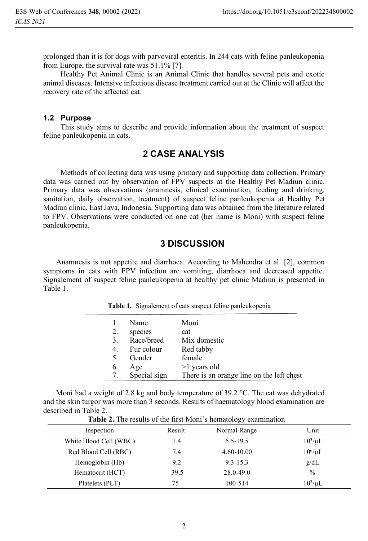prolonged than it is for dogs with parvoviral enteritis. In 244 cats with feline panleukopenia from Europe, the survival rate was 51.1% [7].

Healthy Pet Animal Clinic is an Animal Clinic that handles several pets and exotic animal diseases. Intensive infectious disease treatment carried out at the Clinic will affect the recovery rate of the affected cat.

#### **1.2 Purpose**

This study aims to describe and provide information about the treatment of suspect feline panleukopenia in cats.

### **2 CASE ANALYSIS**

Methods of collecting data was using primary and supporting data collection. Primary data was carried out by observation of FPV suspects at the Healthy Pet Madiun clinic. Primary data was observations (anamnesis, clinical examination, feeding and drinking, sanitation, daily observation, treatment) of suspect feline panleukopenia at Healthy Pet Madiun clinic, East Java, Indonesia. Supporting data was obtained from the literature related to FPV. Observations were conducted on one cat (her name is Moni) with suspect feline panleukopenia.

#### **3 DISCUSSION**

Anamnesis is not appetite and diarrhoea. According to Mahendra et al. [2], common symptoms in cats with FPV infection are vomiting, diarrhoea and decreased appetite. Signalement of suspect feline panleukopenia at healthy pet clinic Madiun is presented in Table 1.

| 1. | Name         | Moni                                      |
|----|--------------|-------------------------------------------|
| 2. | species      | cat                                       |
| 3. | Race/breed   | Mix domestic                              |
| 4. | Fur colour   | Red tabby                                 |
| 5. | Gender       | female                                    |
| 6. | Age          | $>1$ years old                            |
| 7. | Special sign | There is an orange line on the left chest |

**Table 1.** Signalement of cats suspect feline panleukopenia

Moni had a weight of 2.8 kg and body temperature of 39.2  $\degree$ C. The cat was dehydrated and the skin turgor was more than 3 seconds. Results of haematology blood examination are described in Table 2. **Table 2.** The results of the first Moni's hematology examination

|                        |        | ັ            |               |
|------------------------|--------|--------------|---------------|
| Inspection             | Result | Normal Range | Unit          |
| White Blood Cell (WBC) | 1.4    | 5.5-19.5     | $10^3/\mu L$  |
| Red Blood Cell (RBC)   | 7.4    | 4.60-10.00   | $10^6/\mu L$  |
| Hemoglobin (Hb)        | 9.2    | $9.3 - 15.3$ | g/dL          |
| Hematocrit (HCT)       | 39.5   | 28.0-49.0    | $\frac{0}{0}$ |
| Platelets (PLT)        | 75     | 100-514      | $10^3/\mu L$  |

 $\overline{2}$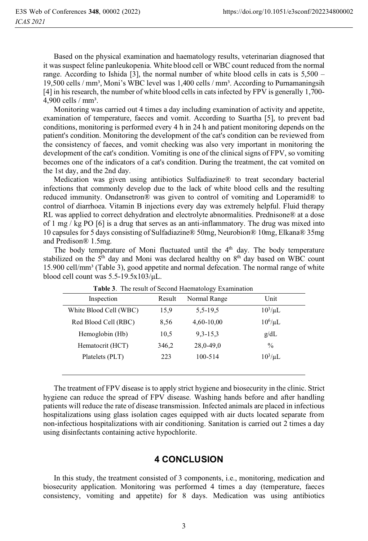Based on the physical examination and haematology results, veterinarian diagnosed that it was suspect feline panleukopenia. White blood cell or WBC count reduced from the normal range. According to Ishida [3], the normal number of white blood cells in cats is  $5,500 -$ 19,500 cells / mm<sup>3</sup>, Moni's WBC level was 1,400 cells / mm<sup>3</sup>. According to Purnamaningsih [4] in his research, the number of white blood cells in cats infected by FPV is generally 1,700-  $4,900$  cells / mm<sup>3</sup>.

Monitoring was carried out 4 times a day including examination of activity and appetite, examination of temperature, faeces and vomit. According to Suartha [5], to prevent bad conditions, monitoring is performed every 4 h in 24 h and patient monitoring depends on the patient's condition. Monitoring the development of the cat's condition can be reviewed from the consistency of faeces, and vomit checking was also very important in monitoring the development of the cat's condition. Vomiting is one of the clinical signs of FPV, so vomiting becomes one of the indicators of a cat's condition. During the treatment, the cat vomited on the 1st day, and the 2nd day.

Medication was given using antibiotics Sulfadiazine® to treat secondary bacterial infections that commonly develop due to the lack of white blood cells and the resulting reduced immunity. Ondansetron® was given to control of vomiting and Loperamid® to control of diarrhoea. Vitamin B injections every day was extremely helpful. Fluid therapy RL was applied to correct dehydration and electrolyte abnormalities. Prednisone® at a dose of 1 mg / kg PO  $[6]$  is a drug that serves as an anti-inflammatory. The drug was mixed into 10 capsules for 5 days consisting of Sulfadiazine® 50mg, Neurobion® 10mg, Elkana® 35mg and Predison® 1.5mg.

The body temperature of Moni fluctuated until the  $4<sup>th</sup>$  day. The body temperature stabilized on the  $5<sup>th</sup>$  day and Moni was declared healthy on  $8<sup>th</sup>$  day based on WBC count 15.900 cell/mm<sup>3</sup> (Table 3), good appetite and normal defecation. The normal range of white blood cell count was 5.5-19.5x103/μL.

| Inspection             | Result | <b>Twore</b> of the result of Second Huenhalology Enumination<br>Normal Range | Unit         |
|------------------------|--------|-------------------------------------------------------------------------------|--------------|
| White Blood Cell (WBC) | 15,9   | 5, 5 - 19, 5                                                                  | $10^3/\mu L$ |
| Red Blood Cell (RBC)   | 8,56   | 4,60-10,00                                                                    | $10^6/\mu L$ |
| Hemoglobin (Hb)        | 10.5   | $9,3-15,3$                                                                    | g/dL         |
| Hematocrit (HCT)       | 346,2  | 28,0-49,0                                                                     | $\%$         |
| Platelets (PLT)        | 223    | 100-514                                                                       | $10^3/\mu L$ |
|                        |        |                                                                               |              |

**Table 3**. The result of Second Haematology Examination

The treatment of FPV disease is to apply strict hygiene and biosecurity in the clinic. Strict hygiene can reduce the spread of FPV disease. Washing hands before and after handling patients will reduce the rate of disease transmission. Infected animals are placed in infectious hospitalizations using glass isolation cages equipped with air ducts located separate from non-infectious hospitalizations with air conditioning. Sanitation is carried out 2 times a day using disinfectants containing active hypochlorite.

#### **4 CONCLUSION**

In this study, the treatment consisted of 3 components, i.e., monitoring, medication and biosecurity application. Monitoring was performed 4 times a day (temperature, faeces consistency, vomiting and appetite) for 8 days. Medication was using antibiotics